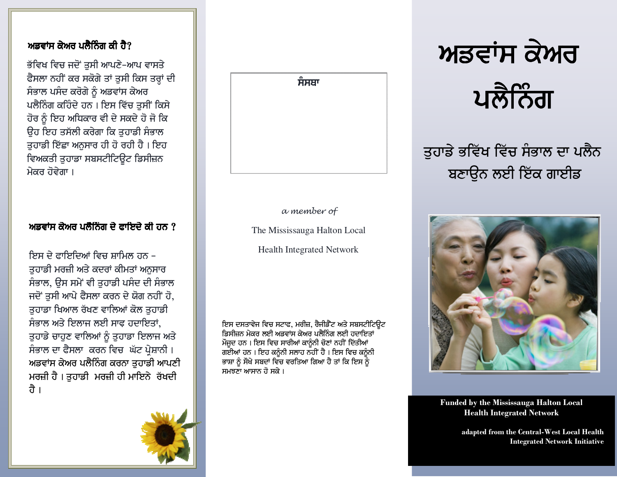## ਅਡਵਾਂਸ ਕੇਅਰ ਪਲੈਨਿੰਗ ਕੀ ਹੈ?

ਭੱਵਿਖ ਵਿਚ ਜਦੋਂ ਤੁਸੀ ਆਪਣੇ-ਆਪ ਵਾਸਤੇ ਫੈਸਲਾ ਨਹੀਂ ਕਰ ਸਕੋਗੇ ਤਾਂ ਤੁਸੀ ਕਿਸ ਤਰ੍ਹਾਂ ਦੀ ਸੰਭਾਲ ਪਸੰਦ ਕਰੋਗੇ ਨੂੰ ਅਡਵਾਂਸ ਕੇਅਰ ਪਲੈਨਿੰਗ ਕਹਿੰਦੇ ਹਨ। ਇਸ ਵਿੱਚ ਤਸੀਂ ਕਿਸੇ ਹੋਰ ਨੂੰ ਇਹ ਅਧਿਕਾਰ ਵੀ ਦੇ ਸਕਦੇ ਹੋ ਜੋ ਕਿ ਉਹ ਇਹ ਤਸੱਲੀ ਕਰੇਗਾ ਕਿ ਤੁਹਾਡੀ ਸੰਭਾਲ ਤੁਹਾਡੀ ਇੱਛਾ ਅਨੁਸਾਰ ਹੀ ਹੋ ਰਹੀ ਹੈ । ਇਹ ਵਿਅਕਤੀ ਤੁਹਾਡਾ ਸਬਸਟੀਟਿਊਟ ਡਿਸੀਜ਼ਨ ਮੇਕਰ ਹੋਵੇਗਾ ।

### ਅਡਵਾਂਸ ਕੇਅਰ ਪਲੈਨਿੰਗ ਦੇ ਫਾਇਦੇ ਕੀ ਹਨ  $\gamma$

ਇਸ ਦੇ ਫ਼ਾਇਦਿਆਂ ਵਿਚ ਸਾਮਿਲ ਹਨ – ਤਹਾਡੀ ਮਰਜ਼ੀ ਅਤੇ ਕਦਰਾਂ ਕੀਮਤਾਂ ਅਨਸਾਰ ਸੰਭਾਲ, ੳਸ ਸਮੇਂ ਵੀ ਤਹਾਡੀ ਪਸੰਦ ਦੀ ਸੰਭਾਲ ਜਦੋਂ ਤਸੀ ਆਪੇ ਫੈਸਲਾ ਕਰਨ ਦੇ ਯੋਗ ਨਹੀਂ ਹੋ, ਤਹਾਡਾ ਖਿਆਲ ਰੱਖਣ ਵਾਲਿਆਂ ਕੋਲ ਤਹਾਡੀ ਸੰਭਾਲ ਅਤੇ ਇਲਾਜ ਲਈ ਸਾਫ ਹਦਾਇਤਾਂ. ਤੁਹਾਡੇ ਚਾਹੁਣ ਵਾਲਿਆਂ ਨੂੰ ਤੁਹਾਡਾ ਇਲਾਜ ਅਤੇ ਸੰਭਾਲ ਦਾ ਫੈਸਲਾ ਕਰਨ ਵਿਚ ਘੱਟ ਪ੍ਰੇਸ਼ਾਨੀ। ਅਡਵਾਂਸ ਕੇਅਰ ਪਲੈਨਿੰਗ ਕਰਨਾ ਤੁਹਾਡੀ ਆਪਣੀ ਮਰਜ਼ੀ ਹੈ। ਤੁਹਾਡੀ ਮਰਜ਼ੀ ਹੀ ਮਾਇਨੇ ਰੱਖਦੀ ਹੈ ।



a member of

The Mississauga Halton Local

**Health Integrated Network** 

ਇਸ ਦਸਤਾਵੇਜ ਵਿਚ ਸਟਾਫ, ਮਰੀਜ਼, ਰੈਜੀਡੈਂਟ ਅਤੇ ਸਬਸਟੀਟਿਊਟ ਡਿਸੀਜ਼ਨ ਮੇਕਰ ਲਈ ਅਡਵਾਂਸ ਕੇਅਰ ਪਲੈਨਿੰਗ ਲਈ ਹਦਾਇਤਾਂ ਮੌਜੂਦ ਹਨ। ਇਸ ਵਿਚ ਸਾਰੀਆਂ ਕਾਨੂੰਨੀ ਚੋਣਾਂ ਨਹੀਂ ਦਿੱਤੀਆਂ ਗਈਆਂ ਹਨ । ਇਹ ਕਨੂੰਨੀ ਸਲਾਹ ਨਹੀਂ ਹੈ । ਇਸ ਵਿਚ ਕਨੂੰਨੀ ਭਾਸ਼ਾ ਨੂੰ ਸੌਖੇ ਸਬਦਾਂ ਵਿੱਚ ਵਰਤਿਆ ਗਿਆ ਹੈ ਤਾਂ ਕਿ ਇਸ ਨੂੰ ਸਮਝਣਾ ਆਸਾਨ ਹੋ ਸਕੇ ।





ਤੁਹਾਡੇ ਭਵਿੱਖ ਵਿੱਚ ਸੰਭਾਲ ਦਾ ਪਲੈਨ ਬਣਾਉਨ ਲਈ ਇੱਕ ਗਾਈਡ



**Funded by the Mississauga Halton Local Health Integrated Network** 

> adapted from the Central-West Local Health **Integrated Network Initiative**

![](_page_0_Picture_15.jpeg)